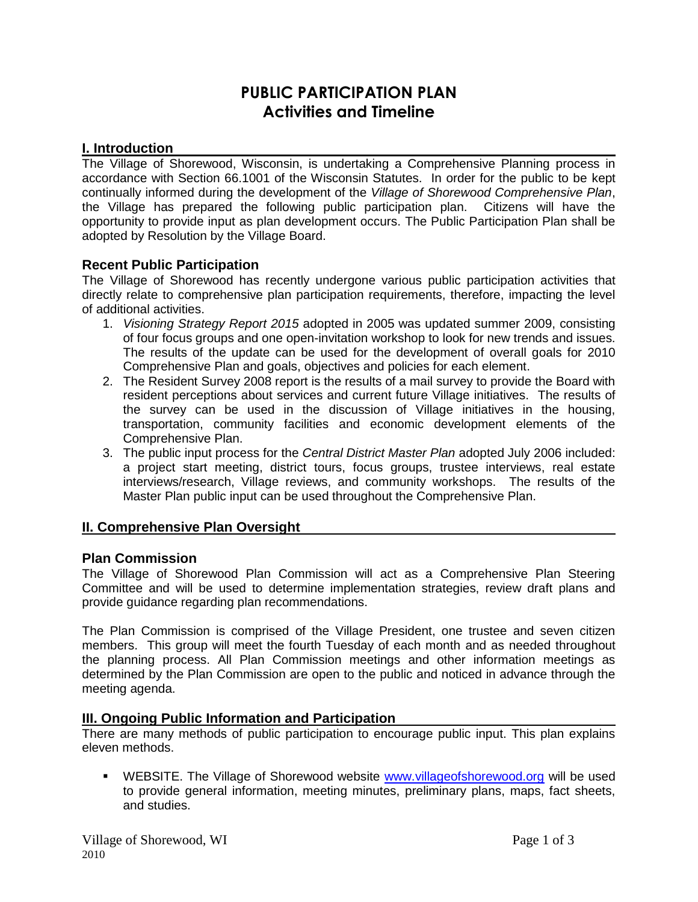# **PUBLIC PARTICIPATION PLAN Activities and Timeline**

## **I. Introduction**

The Village of Shorewood, Wisconsin, is undertaking a Comprehensive Planning process in accordance with Section 66.1001 of the Wisconsin Statutes. In order for the public to be kept continually informed during the development of the *Village of Shorewood Comprehensive Plan*, the Village has prepared the following public participation plan. Citizens will have the opportunity to provide input as plan development occurs. The Public Participation Plan shall be adopted by Resolution by the Village Board.

## **Recent Public Participation**

The Village of Shorewood has recently undergone various public participation activities that directly relate to comprehensive plan participation requirements, therefore, impacting the level of additional activities.

- 1. *Visioning Strategy Report 2015* adopted in 2005 was updated summer 2009, consisting of four focus groups and one open-invitation workshop to look for new trends and issues. The results of the update can be used for the development of overall goals for 2010 Comprehensive Plan and goals, objectives and policies for each element.
- 2. The Resident Survey 2008 report is the results of a mail survey to provide the Board with resident perceptions about services and current future Village initiatives. The results of the survey can be used in the discussion of Village initiatives in the housing, transportation, community facilities and economic development elements of the Comprehensive Plan.
- 3. The public input process for the *Central District Master Plan* adopted July 2006 included: a project start meeting, district tours, focus groups, trustee interviews, real estate interviews/research, Village reviews, and community workshops. The results of the Master Plan public input can be used throughout the Comprehensive Plan.

#### **II. Comprehensive Plan Oversight**

#### **Plan Commission**

The Village of Shorewood Plan Commission will act as a Comprehensive Plan Steering Committee and will be used to determine implementation strategies, review draft plans and provide guidance regarding plan recommendations.

The Plan Commission is comprised of the Village President, one trustee and seven citizen members. This group will meet the fourth Tuesday of each month and as needed throughout the planning process. All Plan Commission meetings and other information meetings as determined by the Plan Commission are open to the public and noticed in advance through the meeting agenda.

#### **III. Ongoing Public Information and Participation**

There are many methods of public participation to encourage public input. This plan explains eleven methods.

**WEBSITE.** The Village of Shorewood website [www.villageofshorewood.org](http://www.villageofshorewood.org/) will be used to provide general information, meeting minutes, preliminary plans, maps, fact sheets, and studies.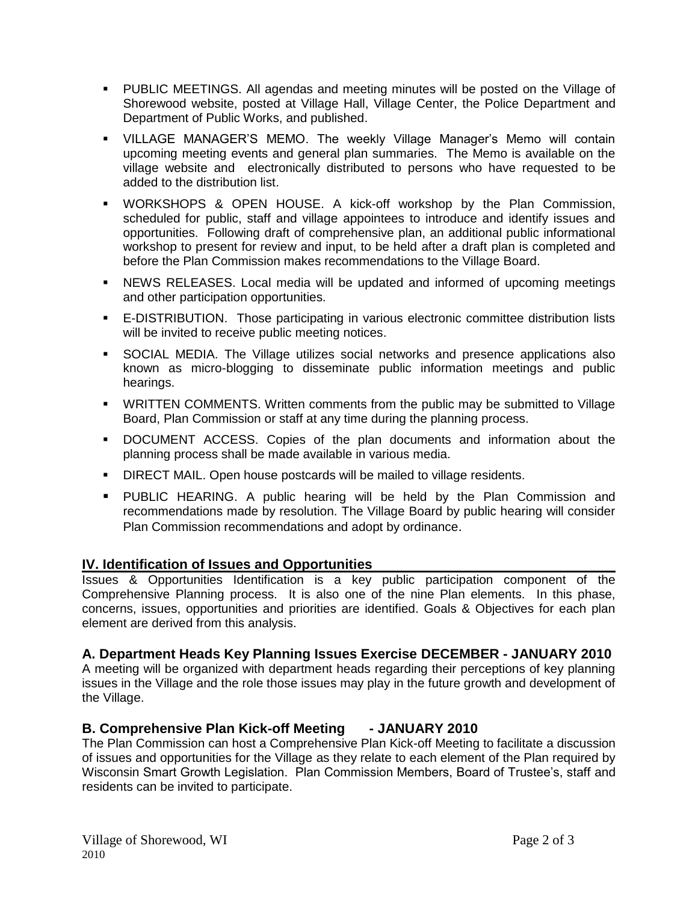- PUBLIC MEETINGS. All agendas and meeting minutes will be posted on the Village of Shorewood website, posted at Village Hall, Village Center, the Police Department and Department of Public Works, and published.
- VILLAGE MANAGER'S MEMO. The weekly Village Manager's Memo will contain upcoming meeting events and general plan summaries. The Memo is available on the village website and electronically distributed to persons who have requested to be added to the distribution list.
- WORKSHOPS & OPEN HOUSE. A kick-off workshop by the Plan Commission, scheduled for public, staff and village appointees to introduce and identify issues and opportunities. Following draft of comprehensive plan, an additional public informational workshop to present for review and input, to be held after a draft plan is completed and before the Plan Commission makes recommendations to the Village Board.
- NEWS RELEASES. Local media will be updated and informed of upcoming meetings and other participation opportunities.
- E-DISTRIBUTION. Those participating in various electronic committee distribution lists will be invited to receive public meeting notices.
- SOCIAL MEDIA. The Village utilizes social networks and presence applications also known as micro-blogging to disseminate public information meetings and public hearings.
- WRITTEN COMMENTS. Written comments from the public may be submitted to Village Board, Plan Commission or staff at any time during the planning process.
- DOCUMENT ACCESS. Copies of the plan documents and information about the planning process shall be made available in various media.
- **DIRECT MAIL. Open house postcards will be mailed to village residents.**
- PUBLIC HEARING. A public hearing will be held by the Plan Commission and recommendations made by resolution. The Village Board by public hearing will consider Plan Commission recommendations and adopt by ordinance.

#### **IV. Identification of Issues and Opportunities**

Issues & Opportunities Identification is a key public participation component of the Comprehensive Planning process. It is also one of the nine Plan elements. In this phase, concerns, issues, opportunities and priorities are identified. Goals & Objectives for each plan element are derived from this analysis.

# **A. Department Heads Key Planning Issues Exercise DECEMBER - JANUARY 2010**

A meeting will be organized with department heads regarding their perceptions of key planning issues in the Village and the role those issues may play in the future growth and development of the Village.

# **B. Comprehensive Plan Kick-off Meeting - JANUARY 2010**

The Plan Commission can host a Comprehensive Plan Kick-off Meeting to facilitate a discussion of issues and opportunities for the Village as they relate to each element of the Plan required by Wisconsin Smart Growth Legislation. Plan Commission Members, Board of Trustee's, staff and residents can be invited to participate.